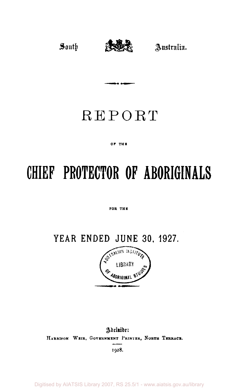

# REPORT

مسد عام

#### OF THE

# **CHIEF PROTECTOR OF ABORIGINALS**

#### FOR THE

**YEAR ENDED JUNE 30. 1927.** 



Adelaide: **HARRISON WEIR , GOVERNMENT PRINTER NORTH TERRACE.** 

**1928.** 

Digitised by AIATSIS Library 2007, RS 25.5/1 - www.aiatsis.gov.au/library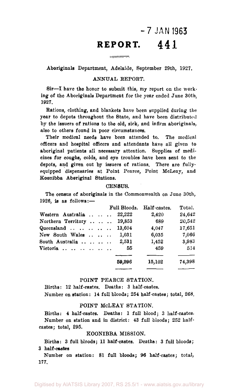## *-7* **JAN 1963 REPORT. 44 1**

Aboriginals Department, Adelaide, September 29th, 1927.

#### ANNUAL REPORT.

Sir—I have the honor to submit this, my report on the working of the Aboriginals Department for the year ended June 30th, 1927.

Rations, clothing, and blankets have been supplied during the year to depots throughout the State, and have been distributed by the issuers of rations to the old, sick, and infirm aboriginals, also to others found in poor circumstances.

Their medical needs have been attended to. The medical officers and hospital officers and attendants have all given to aboriginal patients all necessary attention. Supplies of medicines for coughs, colds, and eye troubles have been sent to the depots, and given out by issuers of rations. There are fullyequipped dispensaries at Point Pearce, Point McLeay, and Koonibba Aberiginal Stations.

#### CENSUS.

The census of aboriginals in the Commonwealth on June 30th, 1926, is as follows:—

|                             |        | Full Bloods. Half castes. | Total. |
|-----------------------------|--------|---------------------------|--------|
| Western Australia           | 22,222 | 2,420                     | 24,642 |
| Northern Territory   19,853 |        | 689                       | 20,542 |
| Queensland                  | 13,604 | 4.047                     | 17,651 |
| New South Wales             | 1,031  | 6,035                     | 7,066  |
| South Australia             | 2.531  | 1,452                     | 3,983  |
| Victoria                    | - 55   | 459                       | 514    |
|                             |        |                           |        |
|                             | 59,296 | 15,102                    | 74,398 |

#### POINT PEARCE STATION.

Births: 12 half-castes. Deaths: 3 half-castes. Number on station: 14 full bloods; 254 half-castes; total, 268.

#### POINT McLEAY STATION.

Births: 4 half-castes. Deaths: 1 full blood; 3 half-castes. Number on station and in district: 43 full bloods; 252 halfcastes; total, 295.

#### KOONIBBA MISSION.

Births: 3 full bloods; 11 half-castes. Deaths: 3 full bloods; 3 half-castes

Number on station: 81 full bloods; 96 half-castes; total, 177.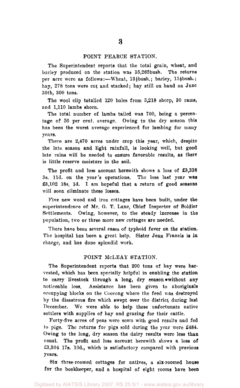#### POINT PEARCE STATION.

The Superintendent reports that the total grain, wheat, and barley produced on the station was 35,265bush. The returns per acre were as follows:--Wheat, 13}bush.; barley, 15}bush.; hay, 278 tons were cut and stacked; hay still on hand on June 30th, 300 tons.

The wool clip totalled 120 bales from 3,218 sheep, 30 rams, and 1,110 lambs shorn.

The total number of lambs tailed was 700, being a percentage of 50 per cent, average. Owing to the dry season this has been the worst average experienced for lambing for many years.

There are 2,470 acres under crop this year, which, despite the late season and light rainfall, is looking well, but good late rains will be needed to ensure favorable results, as there is little reserve moisture in the soil.

The profit and loss account herewith shows a loss of £3,338 3s. l1d. on the year's operations. The loss last year was £3,102 18s. Id. I am hopeful that a return of good seasons will soon eliminate these losses.

Five new wood and iron cottages have been built, under the superintendence of Mr. G. T. Lane, Chief Inspector of Soldier Settlements. Owing, however, to the steady increase in the population, two or three more new cottages are needed.

There have been several cases of typhoid fever on the station. The hospital has been a great help. Sister Jean Francis is in charge, and has done splendid work.

#### POINT McLEAY STATION.

The Superintendent reports that 200 tons of hay were harvested, which has been specially helpful in enabling the station to carry livestock through a long, dry season .without any noticeable loss. Assistance has been given to aboriginals occupying blocks on the Coorong where the feed was destroyed by the disastrous fire which swept over the district during last December. We were able to help these unfortunate native settlers with supplies of hay and grazing for their cattle.

Forty-five acres of peas were sown with good results and fed to pigs. The returns for pigs sold during the year were £484. Owing to the long, dry season the dairy results were less than usual. The profit and loss account herewith shows a loss of £3,304 17s. 10d., which is satisfactory compared with previous years.

Six three-roomed cottages for natives, a six-roomed house for the bookkeeper, and a hospital of eight rooms have been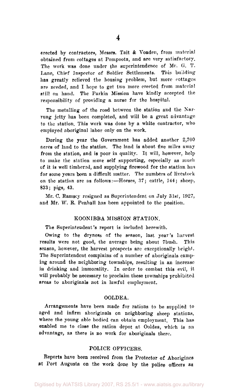erected by contractors, Messrs. Tait & Voaden, from material obtained from cottages at Pompoota, and are very satisfactory. The work was done under the superintendence of Mr. G. T. Lane, Chief Inspector of Soldier Settlements. This building has greatly relieved the housing problem, but more cottages are needed, and I hope to get two more erected from material still on hand. The Parkin Mission have kindly accepted the responsibility of providing a nurse for the hospital.

The metalling of the road between the station and the Narrung jetty has been completed, and will be a great advantage to the station. This work was done by a white contractor, who employed aboriginal labor only on the work.

During the year the Government has added another 2,700 acres of land to the station. The land is about five miles away from the station, and is poor in quality. It will, however, help to make the station more self supporting, especially as much of it is well timbered, and supplying firewood for the station has for some years been a difficult matter. The numbers of livestock on the station are as follows:—Horses, 37; cattle, 144; sheep, 833; pigs, 43.

Mr. C. Ramsey resigned as Superintendent on July 31st, 1927, and Mr. W. E. Penhall has been appointed to the position.

#### KOONIBBA MISSION STATION.

The Superintendent's report is included herewith.

Owing to the dryness of the season, last year's harvest results were not good, the average being about 7bush. This season, however, the harvest prospects are exceptionally bright. The Superintendent complains of a number of aboriginals camping around the neighboring townships, resulting in an increase in drinking and immorality. In order to combat this evil, it will probably be necessary to proclaim these townships prohibited areas to aboriginals not in lawful employment.

#### OOLDEA.

Arrangements have been made for rations to be supplied to aged and infirm aboriginals on neighboring sheep stations, where the young able bodied can obtain employment. This has enabled me to close the ration depot at Ooldea, which is an advantage, as there is no work for aboriginals there.

#### POLICE OFFICERS.

Reports have been received from the Protector of Aborigines at Port Augusta on the work done by the police officers as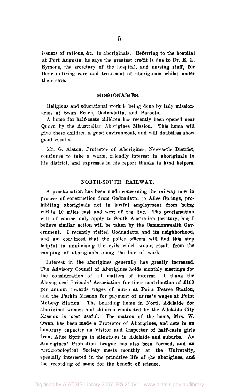issuers of rations, &c, to aboriginals. Referring to the hospital at Port Augusta, he says the greatest credit is due to Dr. E. L. Symons, the secretary of the hospital, and nursing staff, for their untiring care and treatment of aboriginals whilst under their care.

#### MISSIONARIES.

Religious and educational work is being done by lady missionaries at Swan Reach, Oodnadatta, and Baroota.

A home for half-caste children has recently been opened near Quorn by the Australian Aborigines Mission. This home will give these children a good environment, and will doubtless show good results.

Mr. G. Aiston, Protector of Aborigines, Newcastle District, continues to take a warm, friendly interest in aboriginals in his district, and expresses in his report thanks to kind helpers.

#### NORTH-SOUTH RAILWAY.

A proclamation has been made concerning the railway now in process of construction from Oodnadatta to Alice Springs, prohibiting aboriginals not in lawful employment from being within 10 miles east and west of the line. The proclamation will, of course, only apply to South Australian territory, but I believe similar action will be taken by the Commonwealth Government. I recently visited Oodnadatta and its neighborhood, and am convinced that the police officers will find this step helpful in minimising the evils which would result from the camping of aboriginals along the line of work.

Interest in the aborigines generally has greatly increased. The Advisory Council of Aborigines holds monthly meetings for the consideration of all matters of interest. I thank the Aborigines' Friends' Association for their contribution of £100 per annum towards wages of nurse at Point Pearce Station, and the Parkin Mission for payment of nurse's wages at Point McLeay Station. The boarding home in North Adelaide for aboriginal women and children conducted by the Adelaide City Mission is most useful. The matron of the home, Mrs. W. Owen, has been made a Protector of Aborigines, and acts in an honorary capacity as Visitor and Inspector of half-caste girls from Alice Springs in situations in Adelaide and suburbs. An Aborigines' Protection League has also been formed, and an Anthropological Society meets monthly at the University, specially interested in the primitive life of the aborigines, **and.**  the recording of same for the benefit of science.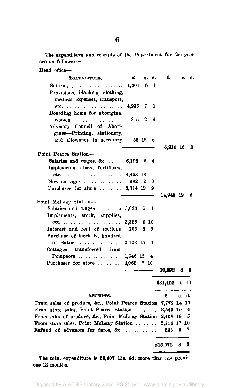The expenditure and receipts of the Department for the year are as follows:—

| Head office-                                                 |               |       |       |              |    |   |       |
|--------------------------------------------------------------|---------------|-------|-------|--------------|----|---|-------|
| EXPENDITURE.                                                 | £             |       | s. d. | £            |    |   | s. d. |
| Salaries                                                     | $1,001$ 6 1   |       |       |              |    |   |       |
| Provisions, blankets, clothing,                              |               |       |       |              |    |   |       |
| medical expenses, transport,                                 |               |       |       |              |    |   |       |
| etc. 4,935 7                                                 |               |       | 1     |              |    |   |       |
| Boarding home for aboriginal                                 |               |       |       |              |    |   |       |
| women                                                        | 215 12        |       | 6     |              |    |   |       |
| Advisory Council of Abori-                                   |               |       |       |              |    |   |       |
| gines-Printing, stationery,                                  |               |       |       |              |    |   |       |
| and allowance to secretary                                   |               | 58 12 | 6     |              |    |   |       |
| Point Pearce Station-                                        |               |       |       | 6,210 18     |    |   | 2     |
| Salaries and wages, &c.  . 6,198 6                           |               |       | 4     |              |    |   |       |
| Implements, stock, fertilisers,                              |               |       |       |              |    |   |       |
| etc.                                                         | 4,453 18      |       | 1     |              |    |   |       |
| New cottages $\ldots$ $\ldots$ $\ldots$ 982 2                |               |       | 0     |              |    |   |       |
| Purchases for store  3,314 12                                |               |       | 9     |              |    |   |       |
|                                                              |               |       |       | 14,948 19    |    |   | 2     |
| Point McLeay Station-                                        |               |       |       |              |    |   |       |
| Salaries and wages 3,030 5 1                                 |               |       |       |              |    |   |       |
| Implements, stock, supplies,                                 |               |       |       |              |    |   |       |
|                                                              | 3,325 0 10    |       |       |              |    |   |       |
| Interest and rent of sections                                | $105 \t6 \t5$ |       |       |              |    |   |       |
| Purchase of block K, hundred                                 |               |       |       |              |    |   |       |
| of Baker  2,122 15                                           |               |       | 0     |              |    |   |       |
| Cottages transferred from                                    |               |       |       |              |    |   |       |
| Pompoota       1,646 13 4                                    |               |       |       |              |    |   |       |
| Purchases for store    2,062 7 10                            |               |       |       | 10,892       | 8  |   | 6     |
|                                                              |               |       |       |              |    |   |       |
|                                                              |               |       |       | £31,452 5 10 |    |   |       |
| RECEIPTS.                                                    |               |       |       | £            | s. |   | d.    |
| From sales of produce, &c., Point Pearce Station 7,779 14 10 |               |       |       |              |    |   |       |
| From store sales, Point Pearce Station                       |               |       |       | 2,543 10     |    |   | 4     |
| From sales of produce, &c., Point McLeay Station 2,408 19    |               |       |       |              |    |   | 5     |
| From store sales, Point McLeay Station  2,116 17 10          |               |       |       |              |    |   |       |
| Refund of advances for fares, &c.     223 5                  |               |       |       |              |    |   | 7     |
|                                                              |               |       |       | £15,072      | 8  | 0 |       |

The total expenditure is £6,407 13s. 4d. more than the previous 12 months.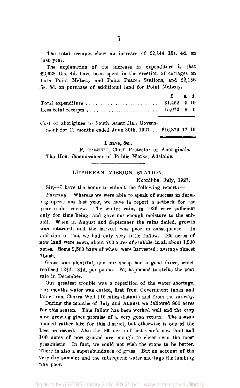The total receipts show an increase of £2,144 15s. 4d. on last year.

The explanation of the increase in expenditure is **that**  £2,628 15s. 4d. have been spent in the erection of cottages on both Point McLeay and Point Pearce Stations, and £2,186 5s. 8d. on purchase of additional land for Point McLeay.

| $\mathbf{E}$ $\mathbf{s}$ , d. |  |
|--------------------------------|--|
|                                |  |
|                                |  |

Cost of aborigines to South Australian Govern-

ment for 12 months ended June 30th, 1927 .. £16,379 17 10

I have, &c,

P. GARNETT, Chief Protector of Aboriginals. The Hon. Commissioner of Public Works, Adelaide.

#### LUTHERAN MISSION STATION.

Koonibba, July, 1927.

Sir,—I have the honor to submit the following report:—

*Farming.*—Whereas we were able to speak of success in farming operations last year, we have to report a setback for the year under review. The winter rains in 1926 were sufficient only for time being, and gave not enough moisture to the subsoil. When in August and September the rains failed, growth was retarded, and the harvest was poor in consequence. In addition to that we had only very little fallow. 460 acres of new land were sown, about 700 acres of stubble, in all about 1,200 acres. Some 2,500 bags of wheat were harvested; average almost 7 bush.

Grass was plentiful, and our sheep had a good fleece, which realised  $12\frac{1}{2}d.-13\frac{3}{4}d$ , per pound. We happened to strike the poor sale in December.

Our greatest trouble was a repetition of the water shortage. For months water was carted, first from Government tanks and later from Charra Well (16 miles distant) and from the railway.

During the months of July and August we fallowed 800 acres for this season. This fallow has been worked well and the crop now growing gives promise of a very good return. The season opened rather late for this district, but otherwise is one of the best on record. Also the 460 acres of last year's new land and 100 acres of new ground are enough to cheer even the most pessimistic. In fact, we could not wish the crops to be better. There is also a superabundance of grass. But on account of the very dry summer and the subsequent water shortage the lambing was poor.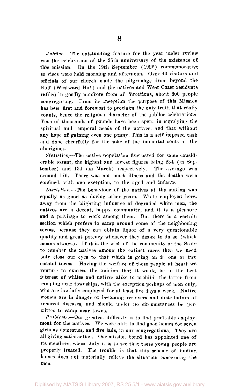*Jubilee.*—The outstanding feature for the year under review was the celebration of the 25th anniversary of the existence of this mission. On the 19th September (1926) commemorative services were held morning and afternoon. Over 40 visitors and officials of our church made the pilgrimage from beyond the Gulf (Westward Ho!) and the natives and West Coast residents rallied in goodly numbers from all directions, about 600 people congregating. From its inception the purpose of this Mission has been first and foremost to proclaim the only truth that really counts, hence the religious character of the jubilee celebrations. Tens of thousands of pounds have been spent in supplying the spiritual and temporal needs of the natives, and that without any hope of gaining even one penny. This is a self-imposed task and done cheerfully for the sake of the immortal souls of the aborigines.

*Statistics.*—The native population fluctuated for some considerable extent, the highest and lowest figures being 234 (in September) and 154 (in March) respectively. The average was around 176. There was not much illness and the deaths were confined, with one exception, to the aged and infants.

*Discipline.*—The behaviour of the natives at the station was equally as good as during other years. While employed here, away from the blighting influence of degraded white men, the natives are a decent, happy community, and it is a pleasure and a privilege to work among them. But there is a certain section which prefers to camp around some of the neighboring towns, because they can obtain liquor of a very questionable quality and great potency whenever they desire to do so (which means always). If it is the wish of the community or the State to number the natives among the extinct races then we need only close our eyes to that which is going on in one or two coastal towns. Having the welfare of these people at heart we venture to express the opinion that it would be in the best interest of whites and natives alike to prohibit the latter from camping near townships, with the exception perhaps of men only, who are lawfully employed for at least five days a week. Native women are in danger of becoming receivers and distributors of venereal diseases, and should under no circumstances be permitted to camp near towns.

*Problems.*—Our greatest difficulty is to find profitable employment for the natives. We were able to find good homes for seven girls as domestics, and five lads, in our congregations. They are all giving satisfaction. Our mission board has appointed one of its members, whose duty it is to see that these young people are properly treated. The trouble is that this scheme of finding homes does not materially relieve the situation concerning the men.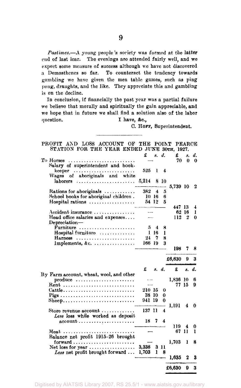**9** 

*Pastimes.*—A young people's society was formed at the latter end of last lear. The evenings are attended fairly well, and we expect some measure of success although we have not discovered a Demosthenes so far. To counteract the tendency towards gambling we have given the men table games, such as ping pong, draughts, and the like. They appreciate this and gambling is on the decline.

In conclusion, if financially the past year was a partial failure we believe that morally and spiritually the gain appreciable, and we hope that in future we shall find a solution also of the labor question. I have, &c.,

C. HOPF, Superintendent.

| STATION FOR THE YEAR ENDED JONE 30TH, 1927.                      |        |            |       |          |    |          |
|------------------------------------------------------------------|--------|------------|-------|----------|----|----------|
|                                                                  | £      |            | s. d. | £        | з. | d.       |
| To Horses                                                        |        |            |       | 70       | 0  | 0        |
| Salary of superintendent and book-                               |        |            |       |          |    |          |
|                                                                  |        |            |       |          |    |          |
| keeper                                                           | 525    | 1          | 4     |          |    |          |
| Wages of aboriginals and white                                   |        |            |       |          |    |          |
| laborers                                                         | 5,214  |            | 8 10  |          |    |          |
|                                                                  |        |            |       | 5,739 10 |    | 2        |
| Rations for aboriginals $\ldots \ldots \ldots$                   | 382    | 4          | 5     |          |    |          |
| School books for aboriginal children.                            |        | $10 \; 16$ | 6     |          |    |          |
| $Hospital$ rations $\ldots \ldots \ldots \ldots \ldots$          |        | 54 12      | 5     |          |    |          |
|                                                                  |        |            |       | 447 13   |    | 4        |
| Accident insurance                                               |        |            |       | 62       | 16 | 1        |
| Head office salaries and expenses                                |        |            |       | 112      | 2  | 0        |
|                                                                  |        |            |       |          |    |          |
| Depreciation-                                                    |        |            |       |          |    |          |
| Furniture                                                        | 5      | 4          | 8     |          |    |          |
| Hospital furniture                                               | 1      | 16         | 1     |          |    |          |
| Harness                                                          | 24     | 7          | 8     |          |    |          |
| Implements, &c.                                                  | 166 19 |            | 3     |          |    |          |
|                                                                  |        |            |       | 198      | 7  | 8        |
|                                                                  |        |            |       |          |    |          |
|                                                                  |        |            |       | £6,630   | 9  | 3        |
|                                                                  | £      | s. d.      |       | £        |    | s. d.    |
|                                                                  |        |            |       |          |    |          |
| By Farm account, wheat, wool, and other                          |        |            |       |          |    |          |
| $produce \dots \dots \dots \dots \dots \dots \dots$              |        |            |       | 1,836 10 |    | 6        |
| Rent                                                             |        |            |       | 77 15    |    | 9        |
| $Cattle \ldots \ldots \ldots \ldots \ldots \ldots \ldots \ldots$ | 210-15 |            | 0     |          |    |          |
|                                                                  | 38 10  |            | 0     |          |    |          |
| $S$ heep                                                         | 941 19 |            | 0     |          |    |          |
|                                                                  |        |            |       | 1,191    | 4  | $\bf{0}$ |
| Store revenue account $\dots\dots\dots\dots$                     | 137 11 |            | 4     |          |    |          |
| Less loss while worked as deposit                                |        |            |       |          |    |          |
| $account \dots \dots \dots \dots \dots \dots \dots \dots$        | 18     | 7          | 4     |          |    |          |
|                                                                  |        |            |       | 119      | 4  | 0        |
|                                                                  |        |            |       | 67 11    |    | 1        |
| Meat                                                             |        |            |       |          |    |          |
| Balance net profit 1915-26 brought                               |        |            |       |          |    |          |
| $forward \ldots \ldots \ldots \ldots \ldots \ldots$              |        |            |       | 1,703    | 1  | 8        |
| Net loss for year $\dots\dots\dots\dots\dots\dots$               | 3.338  |            | 3 11  |          |    |          |
| Less net profit brought forward $\dots$                          | 1.703  | 1          | 8     |          |    |          |
|                                                                  |        |            |       | 1,635    | 2  | 3        |
|                                                                  |        |            |       | £6,630   | 9  | 3        |
|                                                                  |        |            |       |          |    |          |

PROFIT AND LOSS ACCOUNT OF THE POINT PEARCE STATION FOR THE YEAR ENDED JUNE 30TH, 1927.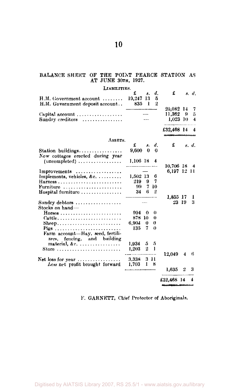#### BALANCE SHEET OF THE POINT PEARCE STATION AS AT JUNE 30TH, 1927.

| LIABILITIES.                                              |            |              |                |             |   |       |
|-----------------------------------------------------------|------------|--------------|----------------|-------------|---|-------|
|                                                           | £          | 8.           | d.             | £           |   | s. d. |
| $H.M.$ Government account $\ldots \ldots$                 | 19,247     | 13           | 5              |             |   |       |
| H.M. Government deposit account                           | 835        | 1            | $\overline{2}$ |             |   |       |
|                                                           |            |              |                |             |   |       |
|                                                           |            |              |                | 20.082 14   |   | 7     |
| Capital account $\ldots \ldots \ldots \ldots$             |            |              |                | 11.362 9    |   | 5     |
| Sundry creditors                                          |            |              |                | 1,023 10    |   | 4     |
|                                                           |            |              |                | £32,468 14  |   | 4     |
| ASSETS.                                                   |            |              |                |             |   |       |
|                                                           | £          | я.           | d.             | £           |   | s. d. |
| Station buildings                                         | 9,600      | $\mathbf{0}$ | $\theta$       |             |   |       |
| New cottages erected during year                          |            |              |                |             |   |       |
|                                                           |            |              | 4              |             |   |       |
| $(uncompleted) \ldots \ldots \ldots \ldots$               | 1,106 18   |              |                |             |   |       |
|                                                           |            |              |                | 10,706 18 4 |   |       |
| Improvements                                              |            |              |                | 6.197 12 11 |   |       |
| Implements, vehicles, &c.                                 | $1.502$ 13 |              | 6              |             |   |       |
| $\text{Harness}$                                          | 219        | 9            | 7              |             |   |       |
| Furniture                                                 | 99.        |              | 7 10           |             |   |       |
| $Hospital$ furniture $\ldots \ldots \ldots \ldots$        | 34         | 6.           | 2              |             |   |       |
|                                                           |            |              |                | 1.855 17    |   | 1     |
| Sundry debtors                                            |            |              |                | 23 19       |   | 3     |
| Stocks on hand-                                           |            |              |                |             |   |       |
| $H$ orses                                                 | 994        | 0            | 0              |             |   |       |
| $\mathbf{Cattle}, \ldots, \ldots, \ldots, \ldots, \ldots$ | 878 10     |              | 0              |             |   |       |
|                                                           |            |              |                |             |   |       |
|                                                           | 6,904      | $\bf{0}$     | 0              |             |   |       |
|                                                           | 135        | 7            | $\theta$       |             |   |       |
| Farm account—Hay, seed, fertili-                          |            |              |                |             |   |       |
| zers, fencing, and building                               |            |              |                |             |   |       |
| material, &c.                                             | 1,934      | 5.           | 5              |             |   |       |
| Store                                                     | 1.203      | 2            | -1             |             |   |       |
|                                                           |            |              |                | 12,049 4    |   | 6     |
|                                                           | 3.338      |              | 311            |             |   |       |
| Net loss for year $\ldots \ldots \ldots \ldots$           | 1,703      | $\mathbf{I}$ | 8              |             |   |       |
| Less net profit brought forward                           |            |              |                | 1.635       | 2 | 3     |
|                                                           |            |              |                | £32,468 14  |   | 4     |
|                                                           |            |              |                |             |   |       |

F. GARNETT, Chief Protector of Aboriginals.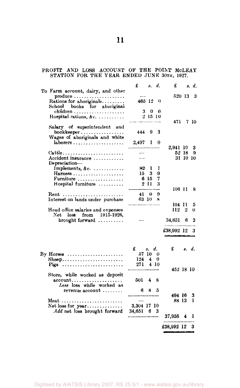### PROFIT AND LOSS ACCOUNT OF THE POINT MCLEAY STATION FOR THE YEAR ENDED JUNE 30TH, 1927.

|                                                                                                               | £                     | 8.                      | d.               | £             |        | s. d.         |
|---------------------------------------------------------------------------------------------------------------|-----------------------|-------------------------|------------------|---------------|--------|---------------|
| To Farm account, dairy, and other<br>$produce \dots \dots \dots \dots \dots \dots$<br>Rations for aboriginals | 465 12                |                         | $_{0}$           |               | 520 13 | 3             |
| School books for aboriginal<br>Hospital rations, &c.                                                          | 3                     | 0<br>21510              | 0                |               |        |               |
| Salary of superintendent and<br>bookkeeper                                                                    | 444                   | 9                       | 3                | 471.          |        | 7 10          |
| Wages of aboriginals and white<br>$laborers \ldots \ldots \ldots \ldots \ldots$                               | 2,497                 | 1                       | 0                | 2,941 10      |        | 3             |
| $C$ attle<br>Accident insurance<br>Depreciation-                                                              | مساحا                 |                         |                  |               | 52 18  | 9<br>31 10 10 |
| Implements, &c.<br>$Harness$<br>Furniture<br>Hospital furniture                                               | 82<br>15 -            | 1<br>3<br>6 15<br>2 11  | 1<br>9<br>7<br>3 |               |        |               |
| Rent<br>Interest on lands under purchase                                                                      | 41<br>63 10           | 0                       | 9<br>×           | 106 11        |        | 8             |
| Head office salaries and expenses<br>$Net$ $loss$<br>from 1915-1926.                                          |                       |                         |                  | 104 11<br>112 | 2      | 5<br>Ü        |
| brought forward $\ldots \ldots$                                                                               |                       |                         |                  | 34,651        | 6      | 3             |
|                                                                                                               |                       |                         |                  | 138,992 12    |        | 3             |
| By Horses $\dots\dots\dots\dots\dots\dots\dots\dots$                                                          | £<br>57 10            | s.                      | d.<br>0          | £             |        | s. d.         |
| $Sheep$<br>Pigs                                                                                               | 124<br>271            | 4                       | 0<br>4 10        | 452 18 10     |        |               |
| Store, while worked as deposit<br>account, , , , ,<br>Less loss while worked as                               | 501                   | $\overline{\mathbf{4}}$ | 8                |               |        |               |
| revenue account                                                                                               | 6                     | 8                       | 5                | 494 16        |        | 3             |
| Meat<br><i>Add</i> net loss brought forward                                                                   | 3,304 17 10<br>34,651 | - 6                     | -3               | 88 13         |        | ł             |
|                                                                                                               |                       |                         |                  | 37,956        | 4      | ı             |
|                                                                                                               |                       |                         |                  | £38,992 12    |        | 3             |